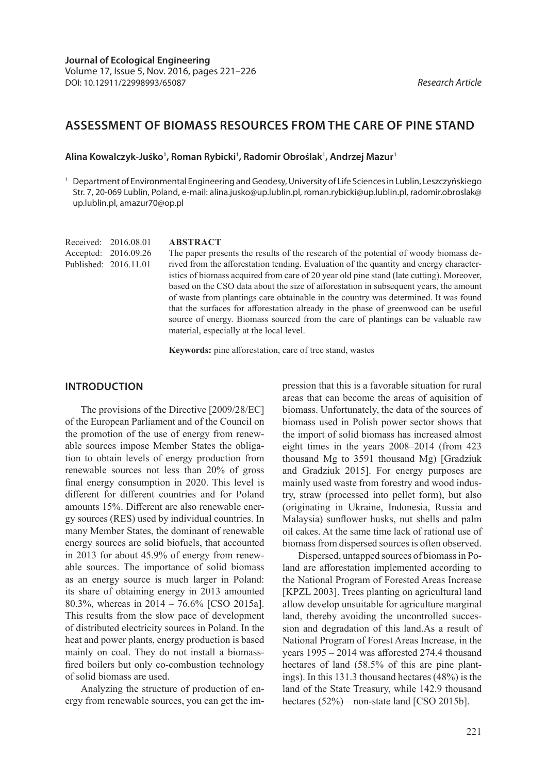# **ASSESSMENT OF BIOMASS RESOURCES FROM THE CARE OF PINE STAND**

#### **Alina Kowalczyk-Juśko1 , Roman Rybicki1 , Radomir Obroślak1 , Andrzej Mazur1**

<sup>1</sup> Department of Environmental Engineering and Geodesy, University of Life Sciences in Lublin, Leszczyńskiego Str. 7, 20-069 Lublin, Poland, e-mail: alina.jusko@up.lublin.pl, roman.rybicki@up.lublin.pl, radomir.obroslak@ up.lublin.pl, amazur70@op.pl

Received: 2016.08.01 Accepted: 2016.09.26 Published: 2016.11.01

#### **ABSTRACT**

The paper presents the results of the research of the potential of woody biomass derived from the afforestation tending. Evaluation of the quantity and energy characteristics of biomass acquired from care of 20 year old pine stand (late cutting). Moreover, based on the CSO data about the size of afforestation in subsequent years, the amount of waste from plantings care obtainable in the country was determined. It was found that the surfaces for afforestation already in the phase of greenwood can be useful source of energy. Biomass sourced from the care of plantings can be valuable raw material, especially at the local level.

**Keywords:** pine afforestation, care of tree stand, wastes

#### **INTRODUCTION**

The provisions of the Directive [2009/28/EC] of the European Parliament and of the Council on the promotion of the use of energy from renewable sources impose Member States the obligation to obtain levels of energy production from renewable sources not less than 20% of gross final energy consumption in 2020. This level is different for different countries and for Poland amounts 15%. Different are also renewable energy sources (RES) used by individual countries. In many Member States, the dominant of renewable energy sources are solid biofuels, that accounted in 2013 for about 45.9% of energy from renewable sources. The importance of solid biomass as an energy source is much larger in Poland: its share of obtaining energy in 2013 amounted 80.3%, whereas in 2014 – 76.6% [CSO 2015a]. This results from the slow pace of development of distributed electricity sources in Poland. In the heat and power plants, energy production is based mainly on coal. They do not install a biomassfired boilers but only co-combustion technology of solid biomass are used.

Analyzing the structure of production of energy from renewable sources, you can get the impression that this is a favorable situation for rural areas that can become the areas of aquisition of biomass. Unfortunately, the data of the sources of biomass used in Polish power sector shows that the import of solid biomass has increased almost eight times in the years 2008–2014 (from 423 thousand Mg to 3591 thousand Mg) [Gradziuk and Gradziuk 2015]. For energy purposes are mainly used waste from forestry and wood industry, straw (processed into pellet form), but also (originating in Ukraine, Indonesia, Russia and Malaysia) sunflower husks, nut shells and palm oil cakes. At the same time lack of rational use of biomass from dispersed sources is often observed.

Dispersed, untapped sources of biomass in Poland are afforestation implemented according to the National Program of Forested Areas Increase [KPZL 2003]. Trees planting on agricultural land allow develop unsuitable for agriculture marginal land, thereby avoiding the uncontrolled succession and degradation of this land.As a result of National Program of Forest Areas Increase, in the years 1995 – 2014 was afforested 274.4 thousand hectares of land (58.5% of this are pine plantings). In this 131.3 thousand hectares (48%) is the land of the State Treasury, while 142.9 thousand hectares (52%) – non-state land [CSO 2015b].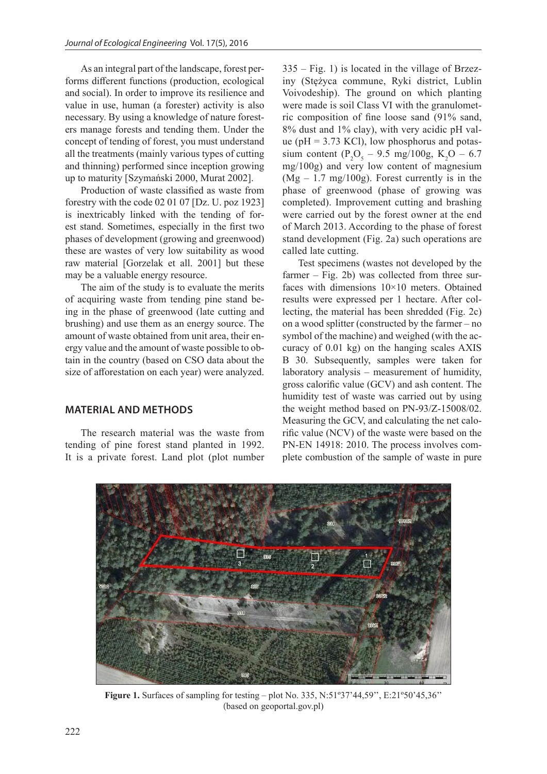As an integral part of the landscape, forest performs different functions (production, ecological and social). In order to improve its resilience and value in use, human (a forester) activity is also necessary. By using a knowledge of nature foresters manage forests and tending them. Under the concept of tending of forest, you must understand all the treatments (mainly various types of cutting and thinning) performed since inception growing up to maturity [Szymański 2000, Murat 2002].

Production of waste classified as waste from forestry with the code 02 01 07 [Dz. U. poz 1923] is inextricably linked with the tending of forest stand. Sometimes, especially in the first two phases of development (growing and greenwood) these are wastes of very low suitability as wood raw material [Gorzelak et all. 2001] but these may be a valuable energy resource.

The aim of the study is to evaluate the merits of acquiring waste from tending pine stand being in the phase of greenwood (late cutting and brushing) and use them as an energy source. The amount of waste obtained from unit area, their energy value and the amount of waste possible to obtain in the country (based on CSO data about the size of afforestation on each year) were analyzed.

#### **MATERIAL AND METHODS**

The research material was the waste from tending of pine forest stand planted in 1992. It is a private forest. Land plot (plot number 335 – Fig. 1) is located in the village of Brzeziny (Stężyca commune, Ryki district, Lublin Voivodeship). The ground on which planting were made is soil Class VI with the granulometric composition of fine loose sand (91% sand, 8% dust and 1% clay), with very acidic pH value ( $pH = 3.73$  KCl), low phosphorus and potassium content ( $P_2O_5 - 9.5$  mg/100g, K<sub>2</sub>O – 6.7 mg/100g) and very low content of magnesium  $(Mg - 1.7 \text{ mg}/100g)$ . Forest currently is in the phase of greenwood (phase of growing was completed). Improvement cutting and brashing were carried out by the forest owner at the end of March 2013. According to the phase of forest stand development (Fig. 2a) such operations are called late cutting.

Test specimens (wastes not developed by the farmer – Fig. 2b) was collected from three surfaces with dimensions 10×10 meters. Obtained results were expressed per 1 hectare. After collecting, the material has been shredded (Fig. 2c) on a wood splitter (constructed by the farmer – no symbol of the machine) and weighed (with the accuracy of 0.01 kg) on the hanging scales AXIS B 30. Subsequently, samples were taken for laboratory analysis – measurement of humidity, gross calorific value (GCV) and ash content. The humidity test of waste was carried out by using the weight method based on PN-93/Z-15008/02. Measuring the GCV, and calculating the net calorific value (NCV) of the waste were based on the PN-EN 14918: 2010. The process involves complete combustion of the sample of waste in pure



**Figure 1.** Surfaces of sampling for testing – plot No. 335, N:51º37'44,59'', E:21º50'45,36'' (based on geoportal.gov.pl)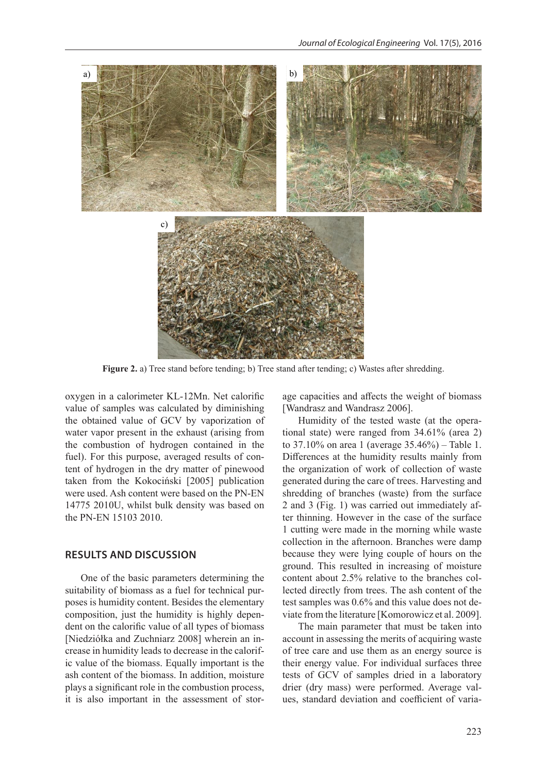

**Figure 2.** a) Tree stand before tending; b) Tree stand after tending; c) Wastes after shredding.

oxygen in a calorimeter KL-12Mn. Net calorific value of samples was calculated by diminishing the obtained value of GCV by vaporization of water vapor present in the exhaust (arising from the combustion of hydrogen contained in the fuel). For this purpose, averaged results of content of hydrogen in the dry matter of pinewood taken from the Kokociński [2005] publication were used. Ash content were based on the PN-EN 14775 2010U, whilst bulk density was based on the PN-EN 15103 2010.

## **RESULTS AND DISCUSSION**

One of the basic parameters determining the suitability of biomass as a fuel for technical purposes is humidity content. Besides the elementary composition, just the humidity is highly dependent on the calorific value of all types of biomass [Niedziółka and Zuchniarz 2008] wherein an increase in humidity leads to decrease in the calorific value of the biomass. Equally important is the ash content of the biomass. In addition, moisture plays a significant role in the combustion process, it is also important in the assessment of storage capacities and affects the weight of biomass [Wandrasz and Wandrasz 2006].

Humidity of the tested waste (at the operational state) were ranged from 34.61% (area 2) to 37.10% on area 1 (average 35.46%) – Table 1. Differences at the humidity results mainly from the organization of work of collection of waste generated during the care of trees. Harvesting and shredding of branches (waste) from the surface 2 and 3 (Fig. 1) was carried out immediately after thinning. However in the case of the surface 1 cutting were made in the morning while waste collection in the afternoon. Branches were damp because they were lying couple of hours on the ground. This resulted in increasing of moisture content about 2.5% relative to the branches collected directly from trees. The ash content of the test samples was 0.6% and this value does not deviate from the literature [Komorowicz et al. 2009].

The main parameter that must be taken into account in assessing the merits of acquiring waste of tree care and use them as an energy source is their energy value. For individual surfaces three tests of GCV of samples dried in a laboratory drier (dry mass) were performed. Average values, standard deviation and coefficient of varia-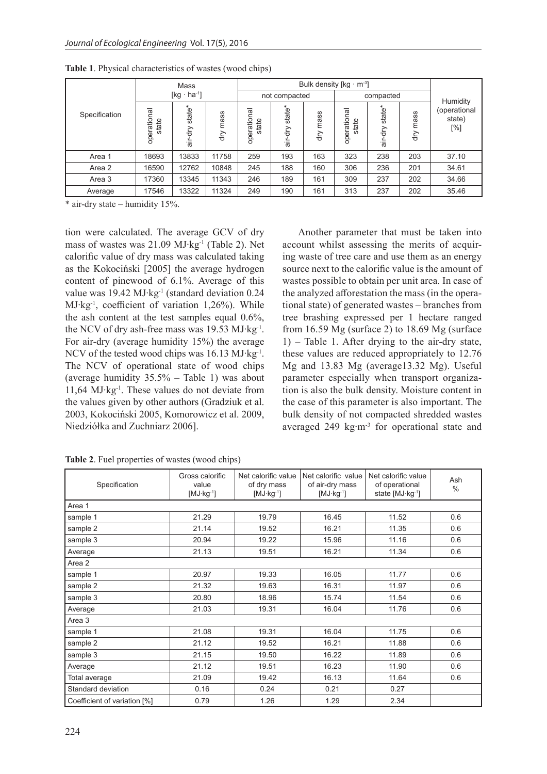| Specification | Mass<br>$[kg \cdot ha^{-1}]$ |                                   |             | Bulk density $[kg \cdot m^3]$ |                   |            |                      |                      |            |                               |
|---------------|------------------------------|-----------------------------------|-------------|-------------------------------|-------------------|------------|----------------------|----------------------|------------|-------------------------------|
|               |                              |                                   |             | not compacted                 |                   |            | compacted            |                      |            | Humidity                      |
|               | īg<br>operatio<br>state      | state*<br>$rac{1}{\sqrt{2}}$<br>÷ | mass<br>dry | 효<br>atio<br>state<br>opera   | state*<br>ξ<br>ंत | mass<br>đη | operational<br>state | $state*$<br>đη<br>ंब | mass<br>άŊ | (operational<br>state)<br>[%] |
| Area 1        | 18693                        | 13833                             | 11758       | 259                           | 193               | 163        | 323                  | 238                  | 203        | 37.10                         |
| Area 2        | 16590                        | 12762                             | 10848       | 245                           | 188               | 160        | 306                  | 236                  | 201        | 34.61                         |
| Area 3        | 17360                        | 13345                             | 11343       | 246                           | 189               | 161        | 309                  | 237                  | 202        | 34.66                         |
| Average       | 17546                        | 13322                             | 11324       | 249                           | 190               | 161        | 313                  | 237                  | 202        | 35.46                         |

**Table 1**. Physical characteristics of wastes (wood chips)

 $*$  air-dry state – humidity 15%.

tion were calculated. The average GCV of dry mass of wastes was 21.09 MJ∙kg-1 (Table 2). Net calorific value of dry mass was calculated taking as the Kokociński [2005] the average hydrogen content of pinewood of 6.1%. Average of this value was 19.42 MJ∙kg-1 (standard deviation 0.24 MJ∙kg-1, coefficient of variation 1,26%). While the ash content at the test samples equal 0.6%, the NCV of dry ash-free mass was 19.53 MJ∙kg-1. For air-dry (average humidity 15%) the average NCV of the tested wood chips was 16.13 MJ∙kg-1. The NCV of operational state of wood chips (average humidity 35.5% – Table 1) was about 11,64 MJ∙kg-1. These values do not deviate from the values given by other authors (Gradziuk et al. 2003, Kokociński 2005, Komorowicz et al. 2009, Niedziółka and Zuchniarz 2006].

Another parameter that must be taken into account whilst assessing the merits of acquiring waste of tree care and use them as an energy source next to the calorific value is the amount of wastes possible to obtain per unit area. In case of the analyzed afforestation the mass (in the operational state) of generated wastes – branches from tree brashing expressed per 1 hectare ranged from  $16.59$  Mg (surface 2) to  $18.69$  Mg (surface 1) – Table 1. After drying to the air-dry state, these values are reduced appropriately to 12.76 Mg and 13.83 Mg (average13.32 Mg). Useful parameter especially when transport organization is also the bulk density. Moisture content in the case of this parameter is also important. The bulk density of not compacted shredded wastes averaged 249 kg∙m-3 for operational state and

| Specification                | Gross calorific<br>value<br>$[MJ·kg-1]$ | Net calorific value<br>of dry mass<br>$[MJ·kg-1]$ | Net calorific value<br>of air-dry mass<br>$[MJ·kg-1]$ | Net calorific value<br>of operational<br>state [MJ·kg <sup>-1</sup> ] | Ash<br>$\frac{0}{0}$ |  |  |  |  |  |  |
|------------------------------|-----------------------------------------|---------------------------------------------------|-------------------------------------------------------|-----------------------------------------------------------------------|----------------------|--|--|--|--|--|--|
| Area 1                       |                                         |                                                   |                                                       |                                                                       |                      |  |  |  |  |  |  |
| sample 1                     | 21.29                                   | 19.79                                             | 16.45                                                 | 11.52                                                                 | 0.6                  |  |  |  |  |  |  |
| sample 2                     | 21.14                                   | 19.52                                             | 16.21                                                 | 11.35                                                                 | 0.6                  |  |  |  |  |  |  |
| sample 3                     | 20.94                                   | 19.22                                             | 15.96                                                 | 11.16                                                                 | 0.6                  |  |  |  |  |  |  |
| Average                      | 21.13                                   | 19.51                                             | 16.21                                                 | 11.34                                                                 | 0.6                  |  |  |  |  |  |  |
| Area 2                       |                                         |                                                   |                                                       |                                                                       |                      |  |  |  |  |  |  |
| sample 1                     | 20.97                                   | 19.33                                             | 16.05                                                 | 11.77                                                                 | 0.6                  |  |  |  |  |  |  |
| sample 2                     | 21.32                                   | 19.63                                             | 16.31                                                 | 11.97                                                                 | 0.6                  |  |  |  |  |  |  |
| sample 3                     | 20.80                                   | 18.96                                             | 15.74                                                 | 11.54                                                                 | 0.6                  |  |  |  |  |  |  |
| Average                      | 21.03                                   | 19.31                                             | 16.04                                                 | 11.76                                                                 | 0.6                  |  |  |  |  |  |  |
| Area 3                       |                                         |                                                   |                                                       |                                                                       |                      |  |  |  |  |  |  |
| sample 1                     | 21.08                                   | 19.31                                             | 16.04                                                 | 11.75                                                                 | 0.6                  |  |  |  |  |  |  |
| sample 2                     | 21.12                                   | 19.52                                             | 16.21                                                 | 11.88                                                                 | 0.6                  |  |  |  |  |  |  |
| sample 3                     | 21.15                                   | 19.50                                             | 16.22                                                 | 11.89                                                                 | 0.6                  |  |  |  |  |  |  |
| Average                      | 21.12                                   | 19.51                                             | 16.23                                                 | 11.90                                                                 | 0.6                  |  |  |  |  |  |  |
| Total average                | 21.09                                   | 19.42                                             | 16.13                                                 | 11.64                                                                 | 0.6                  |  |  |  |  |  |  |
| Standard deviation           | 0.16                                    | 0.24                                              | 0.21                                                  | 0.27                                                                  |                      |  |  |  |  |  |  |
| Coefficient of variation [%] | 0.79                                    | 1.26                                              | 1.29                                                  | 2.34                                                                  |                      |  |  |  |  |  |  |

**Table 2**. Fuel properties of wastes (wood chips)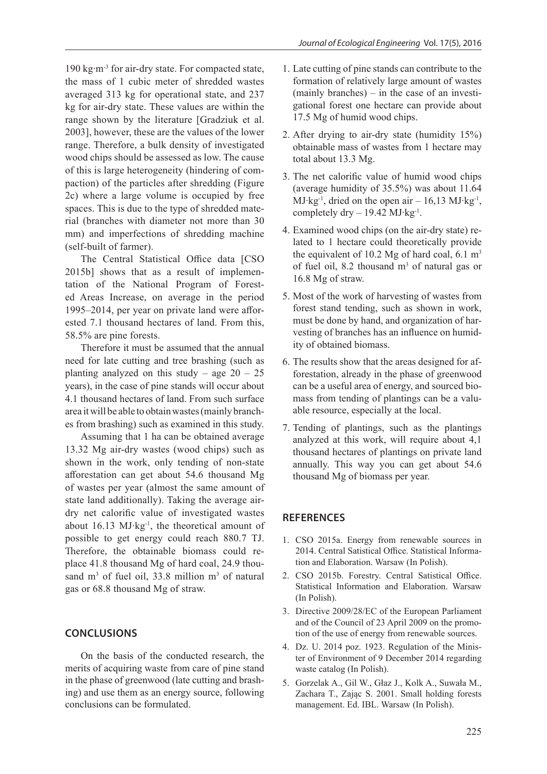190 kg∙m-3 for air-dry state. For compacted state, the mass of 1 cubic meter of shredded wastes averaged 313 kg for operational state, and 237 kg for air-dry state. These values are within the range shown by the literature [Gradziuk et al. 2003], however, these are the values of the lower range. Therefore, a bulk density of investigated wood chips should be assessed as low. The cause of this is large heterogeneity (hindering of compaction) of the particles after shredding (Figure 2c) where a large volume is occupied by free spaces. This is due to the type of shredded material (branches with diameter not more than 30 mm) and imperfections of shredding machine (self-built of farmer).

The Central Statistical Office data [CSO 2015b] shows that as a result of implementation of the National Program of Forested Areas Increase, on average in the period 1995–2014, per year on private land were afforested 7.1 thousand hectares of land. From this, 58.5% are pine forests.

Therefore it must be assumed that the annual need for late cutting and tree brashing (such as planting analyzed on this study – age  $20 - 25$ years), in the case of pine stands will occur about 4.1 thousand hectares of land. From such surface area it will be able to obtain wastes (mainly branches from brashing) such as examined in this study.

Assuming that 1 ha can be obtained average 13.32 Mg air-dry wastes (wood chips) such as shown in the work, only tending of non-state afforestation can get about 54.6 thousand Mg of wastes per year (almost the same amount of state land additionally). Taking the average airdry net calorific value of investigated wastes about 16.13 MJ∙kg-1, the theoretical amount of possible to get energy could reach 880.7 TJ. Therefore, the obtainable biomass could replace 41.8 thousand Mg of hard coal, 24.9 thousand  $m<sup>3</sup>$  of fuel oil, 33.8 million  $m<sup>3</sup>$  of natural gas or 68.8 thousand Mg of straw.

#### **CONCLUSIONS**

On the basis of the conducted research, the merits of acquiring waste from care of pine stand in the phase of greenwood (late cutting and brashing) and use them as an energy source, following conclusions can be formulated.

- 1. Late cutting of pine stands can contribute to the formation of relatively large amount of wastes (mainly branches) – in the case of an investigational forest one hectare can provide about 17.5 Mg of humid wood chips.
- 2. After drying to air-dry state (humidity 15%) obtainable mass of wastes from 1 hectare may total about 13.3 Mg.
- 3. The net calorific value of humid wood chips (average humidity of 35.5%) was about 11.64 MJ∙kg-1, dried on the open air – 16,13 MJ∙kg-1, completely dry – 19.42 MJ∙kg-1.
- 4. Examined wood chips (on the air-dry state) related to 1 hectare could theoretically provide the equivalent of 10.2 Mg of hard coal,  $6.1 \text{ m}^3$ of fuel oil, 8.2 thousand  $m<sup>3</sup>$  of natural gas or 16.8 Mg of straw.
- 5. Most of the work of harvesting of wastes from forest stand tending, such as shown in work, must be done by hand, and organization of harvesting of branches has an influence on humidity of obtained biomass.
- 6. The results show that the areas designed for afforestation, already in the phase of greenwood can be a useful area of energy, and sourced biomass from tending of plantings can be a valuable resource, especially at the local.
- 7. Tending of plantings, such as the plantings analyzed at this work, will require about 4,1 thousand hectares of plantings on private land annually. This way you can get about 54.6 thousand Mg of biomass per year.

### **REFERENCES**

- 1. CSO 2015a. Energy from renewable sources in 2014. Central Satistical Office. Statistical Information and Elaboration. Warsaw (In Polish).
- 2. CSO 2015b. Forestry. Central Satistical Office. Statistical Information and Elaboration. Warsaw (In Polish).
- 3. Directive 2009/28/EC of the European Parliament and of the Council of 23 April 2009 on the promotion of the use of energy from renewable sources.
- 4. Dz. U. 2014 poz. 1923. Regulation of the Minister of Environment of 9 December 2014 regarding waste catalog (In Polish).
- 5. Gorzelak A., Gil W., Głaz J., Kolk A., Suwała M., Zachara T., Zając S. 2001. Small holding forests management. Ed. IBL. Warsaw (In Polish).